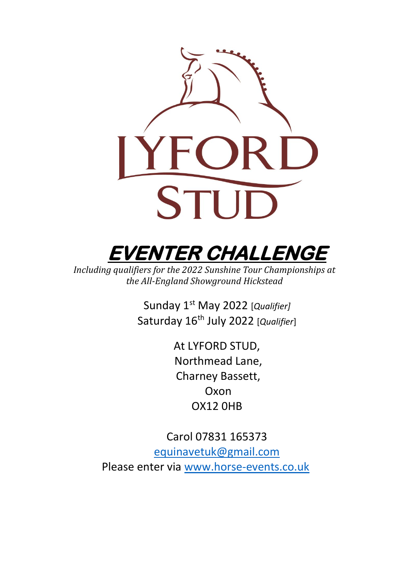



*Including qualifiers for the 2022 Sunshine Tour Championships at the All-England Showground Hickstead*

> Sunday 1 st May 2022 [*Qualifier]* Saturday 16th July 2022 [*Qualifier*]

> > At LYFORD STUD, Northmead Lane, Charney Bassett, Oxon OX12 0HB

Carol 07831 165373 [equinavetuk@gmail.com](mailto:equinavetuk@gmail.com) Please enter via [www.horse-events.co.uk](http://www.horse-events.co.uk/)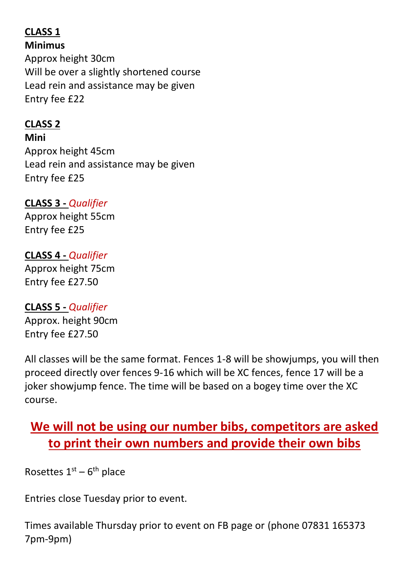#### **CLASS 1 Minimus**

Approx height 30cm Will be over a slightly shortened course Lead rein and assistance may be given Entry fee £22

## **CLASS 2**

**Mini**

Approx height 45cm Lead rein and assistance may be given Entry fee £25

### **CLASS 3 -** *Qualifier*

Approx height 55cm Entry fee £25

#### **CLASS 4 -** *Qualifier*

Approx height 75cm Entry fee £27.50

### **CLASS 5 -** *Qualifier*

Approx. height 90cm Entry fee £27.50

All classes will be the same format. Fences 1-8 will be showjumps, you will then proceed directly over fences 9-16 which will be XC fences, fence 17 will be a joker showjump fence. The time will be based on a bogey time over the XC course.

# **We will not be using our number bibs, competitors are asked to print their own numbers and provide their own bibs**

Rosettes  $1<sup>st</sup> - 6<sup>th</sup>$  place

Entries close Tuesday prior to event.

Times available Thursday prior to event on FB page or (phone 07831 165373 7pm-9pm)